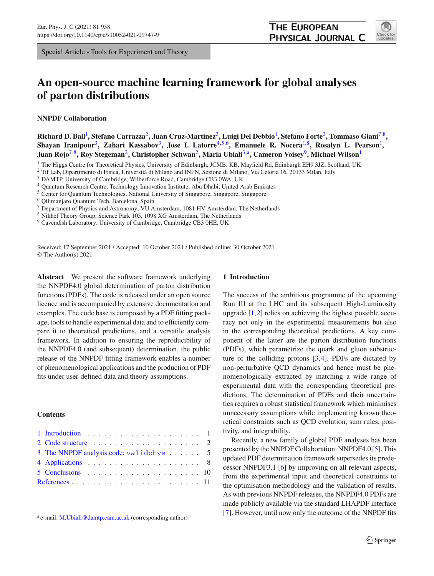Special Article - Tools for Experiment and Theory

# **An open-source machine learning framework for global analyses of parton distributions**

**NNPDF Collaboration**

**Richard D. Ball**[1](#page-0-0) **, Stefano Carrazza**[2](#page-0-0)**, Juan Cruz-Martinez**[2](#page-0-0)**, Luigi Del Debbio**[1](#page-0-0) **, Stefano Forte**[2](#page-0-0)**, Tommaso Giani**[7](#page-0-1)[,8](#page-0-2)**, Shayan Iranipour**[3](#page-0-3)**, Zahari Kassabov**[3](#page-0-3)**, Jose I. Latorre**[4](#page-0-4)[,5](#page-0-5)[,6](#page-0-6)**, Emanuele R. Nocera**[1,](#page-0-0)[8](#page-0-2)**, Rosalyn L. Pearson**[1](#page-0-0) **, Juan Rojo**[7](#page-0-1)[,8](#page-0-2)**, Roy Stegeman**[2](#page-0-0)**, Christopher Schwan**[2](#page-0-0)**, Maria Ubiali**[3,](#page-0-3)a**, Cameron Voisey**[9](#page-0-7)**, Michael Wilson**[1](#page-0-0)

<sup>1</sup> The Higgs Centre for Theoretical Physics, University of Edinburgh, JCMB, KB, Mayfield Rd, Edinburgh EH9 3JZ, Scotland, UK

<sup>3</sup> DAMTP, University of Cambridge, Wilberforce Road, Cambridge CB3 0WA, UK

<sup>4</sup> Quantum Research Centre, Technology Innovation Institute, Abu Dhabi, United Arab Emirates

<sup>5</sup> Center for Quantum Technologies, National University of Singapore, Singapore, Singapore

<sup>6</sup> Qilimanjaro Quantum Tech, Barcelona, Spain

 $^7$  Department of Physics and Astronomy, VU Amsterdam, 1081 HV Amsterdam, The Netherlands

<sup>8</sup> Nikhef Theory Group, Science Park 105, 1098 XG Amsterdam, The Netherlands

<sup>9</sup> Cavendish Laboratory, University of Cambridge, Cambridge CB3 0HE, UK

Received: 17 September 2021 / Accepted: 10 October 2021 / Published online: 30 October 2021 © The Author(s) 2021

**Abstract** We present the software framework underlying the NNPDF4.0 global determination of parton distribution functions (PDFs). The code is released under an open source licence and is accompanied by extensive documentation and examples. The code base is composed by a PDF fitting package, tools to handle experimental data and to efficiently compare it to theoretical predictions, and a versatile analysis framework. In addition to ensuring the reproducibility of the NNPDF4.0 (and subsequent) determination, the public release of the NNPDF fitting framework enables a number of phenomenological applications and the production of PDF fits under user-defined data and theory assumptions.

### **Contents**

| 3 The NNPDF analysis code: validphys  5 |  |
|-----------------------------------------|--|
|                                         |  |
|                                         |  |
|                                         |  |

<sup>&</sup>lt;sup>a</sup> e-mail: [M.Ubiali@damtp.cam.ac.uk](mailto:M.Ubiali@damtp.cam.ac.uk) (corresponding author)

### <span id="page-0-8"></span><span id="page-0-7"></span><span id="page-0-6"></span><span id="page-0-5"></span><span id="page-0-4"></span><span id="page-0-2"></span><span id="page-0-1"></span>**1 Introduction**

The success of the ambitious programme of the upcoming Run III at the LHC and its subsequent High-Luminosity upgrade [\[1](#page-10-1)[,2](#page-10-2)] relies on achieving the highest possible accuracy not only in the experimental measurements but also in the corresponding theoretical predictions. A key component of the latter are the parton distribution functions (PDFs), which parametrize the quark and gluon substructure of the colliding protons [\[3](#page-10-3)[,4](#page-10-4)]. PDFs are dictated by non-perturbative QCD dynamics and hence must be phenomenologically extracted by matching a wide range of experimental data with the corresponding theoretical predictions. The determination of PDFs and their uncertainties requires a robust statistical framework which minimises unnecessary assumptions while implementing known theoretical constraints such as QCD evolution, sum rules, positivity, and integrability.

Recently, a new family of global PDF analyses has been presented by the NNPDF Collaboration: NNPDF4.0 [\[5](#page-10-5)]. This updated PDF determination framework supersedes its predecessor NNPDF3.1 [\[6](#page-10-6)] by improving on all relevant aspects, from the experimental input and theoretical constraints to the optimisation methodology and the validation of results. As with previous NNPDF releases, the NNPDF4.0 PDFs are made publicly available via the standard LHAPDF interface [\[7](#page-10-7)]. However, until now only the outcome of the NNPDF fits

<span id="page-0-3"></span><span id="page-0-0"></span>

<sup>&</sup>lt;sup>2</sup> Tif Lab, Dipartimento di Fisica, Università di Milano and INFN, Sezione di Milano, Via Celoria 16, 20133 Milan, Italy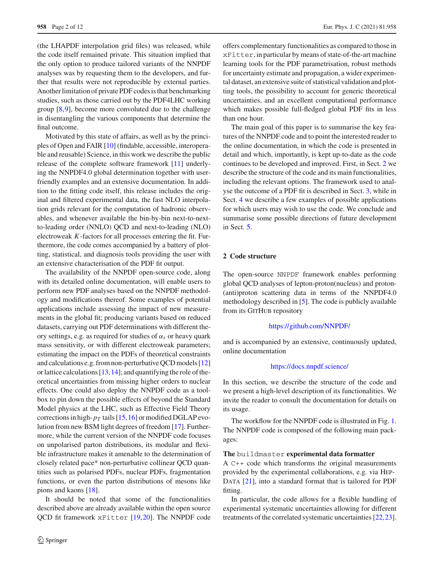(the LHAPDF interpolation grid files) was released, while the code itself remained private. This situation implied that the only option to produce tailored variants of the NNPDF analyses was by requesting them to the developers, and further that results were not reproducible by external parties. Another limitation of private PDF codes is that benchmarking studies, such as those carried out by the PDF4LHC working group [\[8,](#page-10-8)[9\]](#page-10-9), become more convoluted due to the challenge in disentangling the various components that determine the final outcome.

Motivated by this state of affairs, as well as by the principles of Open and FAIR [\[10\]](#page-10-10) (findable, accessible, interoperable and reusable) Science, in this work we describe the public release of the complete software framework [\[11](#page-10-11)] underlying the NNPDF4.0 global determination together with userfriendly examples and an extensive documentation. In addition to the fitting code itself, this release includes the original and filtered experimental data, the fast NLO interpolation grids relevant for the computation of hadronic observables, and whenever available the bin-by-bin next-to-nextto-leading order (NNLO) QCD and next-to-leading (NLO) electroweak *K*-factors for all processes entering the fit. Furthermore, the code comes accompanied by a battery of plotting, statistical, and diagnosis tools providing the user with an extensive characterisation of the PDF fit output.

The availability of the NNPDF open-source code, along with its detailed online documentation, will enable users to perform new PDF analyses based on the NNPDF methodology and modifications thereof. Some examples of potential applications include assessing the impact of new measurements in the global fit; producing variants based on reduced datasets, carrying out PDF determinations with different theory settings, e.g. as required for studies of α*s* or heavy quark mass sensitivity, or with different electroweak parameters; estimating the impact on the PDFs of theoretical constraints and calculations e.g. from non-perturbative QCD models [\[12\]](#page-10-12) or lattice calculations [\[13](#page-10-13)[,14](#page-10-14)]; and quantifying the role of theoretical uncertainties from missing higher orders to nuclear effects. One could also deploy the NNPDF code as a toolbox to pin down the possible effects of beyond the Standard Model physics at the LHC, such as Effective Field Theory corrections in high- $p_T$  tails [\[15](#page-10-15),[16](#page-10-16)] or modified DGLAP evolution from new BSM light degrees of freedom [\[17](#page-10-17)]. Furthermore, while the current version of the NNPDF code focuses on unpolarised parton distributions, its modular and flexible infrastructure makes it amenable to the determination of closely related pace\* non-perturbative collinear QCD quantities such as polarised PDFs, nuclear PDFs, fragmentation functions, or even the parton distributions of mesons like pions and kaons [\[18](#page-10-18)].

It should be noted that some of the functionalities described above are already available within the open source QCD fit framework xFitter [\[19,](#page-10-19)[20\]](#page-10-20). The NNPDF code offers complementary functionalities as compared to those in xFitter, in particular by means of state-of-the-art machine learning tools for the PDF parametrisation, robust methods for uncertainty estimate and propagation, a wider experimental dataset, an extensive suite of statistical validation and plotting tools, the possibility to account for generic theoretical uncertainties, and an excellent computational performance which makes possible full-fledged global PDF fits in less than one hour.

The main goal of this paper is to summarise the key features of the NNPDF code and to point the interested reader to the online documentation, in which the code is presented in detail and which, importantly, is kept up-to-date as the code continues to be developed and improved. First, in Sect. [2](#page-1-0) we describe the structure of the code and its main functionalities, including the relevant options. The framework used to analyse the outcome of a PDF fit is described in Sect. [3,](#page-4-0) while in Sect. [4](#page-7-0) we describe a few examples of possible applications for which users may wish to use the code. We conclude and summarise some possible directions of future development in Sect. [5.](#page-9-0)

#### <span id="page-1-0"></span>**2 Code structure**

The open-source NNPDF framework enables performing global QCD analyses of lepton-proton(nucleus) and proton- (anti)proton scattering data in terms of the NNPDF4.0 methodology described in [\[5](#page-10-5)]. The code is publicly available from its GITHUB repository

### <https://github.com/NNPDF/>

and is accompanied by an extensive, continuously updated, online documentation

### <https://docs.nnpdf.science/>

In this section, we describe the structure of the code and we present a high-level description of its functionalities. We invite the reader to consult the documentation for details on its usage.

The workflow for the NNPDF code is illustrated in Fig. [1.](#page-2-0) The NNPDF code is composed of the following main packages:

### **The** buildmaster **experimental data formatter**

A C++ code which transforms the original measurements provided by the experimental collaborations, e.g. via Hep-DATA [\[21](#page-10-21)], into a standard format that is tailored for PDF fitting.

In particular, the code allows for a flexible handling of experimental systematic uncertainties allowing for different treatments of the correlated systematic uncertainties [\[22](#page-10-22)[,23](#page-10-23)].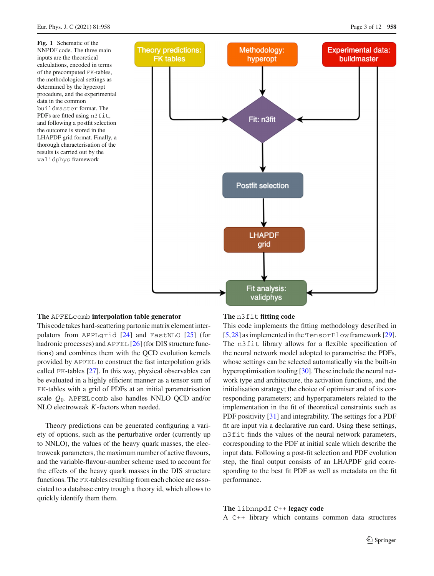<span id="page-2-0"></span>**Fig. 1** Schematic of the NNPDF code. The three main inputs are the theoretical calculations, encoded in terms of the precomputed FK-tables, the methodological settings as determined by the hyperopt procedure, and the experimental data in the common buildmaster format. The PDFs are fitted using n3fit, and following a postfit selection the outcome is stored in the LHAPDF grid format. Finally, a thorough characterisation of the results is carried out by the validphys framework



### **The** APFELcomb **interpolation table generator**

This code takes hard-scattering partonic matrix element interpolators from APPLgrid [\[24](#page-10-24)] and FastNLO [\[25\]](#page-10-25) (for hadronic processes) and APFEL [\[26\]](#page-10-26) (for DIS structure functions) and combines them with the QCD evolution kernels provided by APFEL to construct the fast interpolation grids called FK-tables [\[27](#page-10-27)]. In this way, physical observables can be evaluated in a highly efficient manner as a tensor sum of FK-tables with a grid of PDFs at an initial parametrisation scale *Q*0. APFELcomb also handles NNLO QCD and/or NLO electroweak *K*-factors when needed.

Theory predictions can be generated configuring a variety of options, such as the perturbative order (currently up to NNLO), the values of the heavy quark masses, the electroweak parameters, the maximum number of active flavours, and the variable-flavour-number scheme used to account for the effects of the heavy quark masses in the DIS structure functions. The FK-tables resulting from each choice are associated to a database entry trough a theory id, which allows to quickly identify them them.

### **The** n3fit **fitting code**

This code implements the fitting methodology described in [\[5](#page-10-5),[28\]](#page-10-28) as implemented in the TensorFlow framework [\[29](#page-10-29)]. The n3fit library allows for a flexible specification of the neural network model adopted to parametrise the PDFs, whose settings can be selected automatically via the built-in hyperoptimisation tooling [\[30\]](#page-10-30). These include the neural network type and architecture, the activation functions, and the initialisation strategy; the choice of optimiser and of its corresponding parameters; and hyperparameters related to the implementation in the fit of theoretical constraints such as PDF positivity [\[31\]](#page-10-31) and integrability. The settings for a PDF fit are input via a declarative run card. Using these settings, n3fit finds the values of the neural network parameters, corresponding to the PDF at initial scale which describe the input data. Following a post-fit selection and PDF evolution step, the final output consists of an LHAPDF grid corresponding to the best fit PDF as well as metadata on the fit performance.

**The** libnnpdf C++ **legacy code** A C++ library which contains common data structures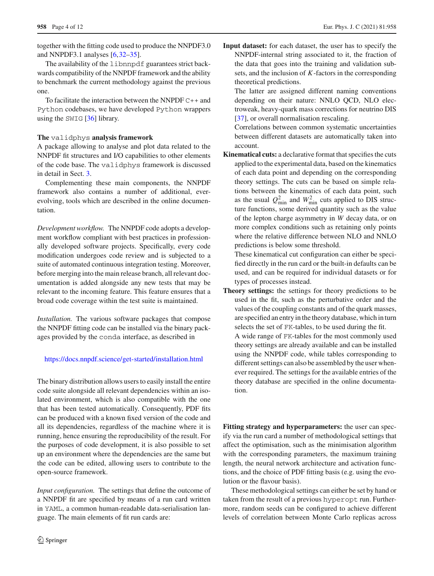together with the fitting code used to produce the NNPDF3.0 and NNPDF3.1 analyses [\[6](#page-10-6)[,32](#page-10-32)[–35](#page-10-33)].

The availability of the libnnpdf guarantees strict backwards compatibility of the NNPDF framework and the ability to benchmark the current methodology against the previous one.

To facilitate the interaction between the NNPDF C++ and Python codebases, we have developed Python wrappers using the SWIG [\[36](#page-10-34)] library.

### **The** validphys **analysis framework**

A package allowing to analyse and plot data related to the NNPDF fit structures and I/O capabilities to other elements of the code base. The validphys framework is discussed in detail in Sect. [3.](#page-4-0)

Complementing these main components, the NNPDF framework also contains a number of additional, everevolving, tools which are described in the online documentation.

*Development workflow.* The NNPDF code adopts a development workflow compliant with best practices in professionally developed software projects. Specifically, every code modification undergoes code review and is subjected to a suite of automated continuous integration testing. Moreover, before merging into the main release branch, all relevant documentation is added alongside any new tests that may be relevant to the incoming feature. This feature ensures that a broad code coverage within the test suite is maintained.

*Installation.* The various software packages that compose the NNPDF fitting code can be installed via the binary packages provided by the conda interface, as described in

### <https://docs.nnpdf.science/get-started/installation.html>

The binary distribution allows users to easily install the entire code suite alongside all relevant dependencies within an isolated environment, which is also compatible with the one that has been tested automatically. Consequently, PDF fits can be produced with a known fixed version of the code and all its dependencies, regardless of the machine where it is running, hence ensuring the reproducibility of the result. For the purposes of code development, it is also possible to set up an environment where the dependencies are the same but the code can be edited, allowing users to contribute to the open-source framework.

*Input configuration.* The settings that define the outcome of a NNPDF fit are specified by means of a run card written in YAML, a common human-readable data-serialisation language. The main elements of fit run cards are:

**Input dataset:** for each dataset, the user has to specify the NNPDF-internal string associated to it, the fraction of the data that goes into the training and validation subsets, and the inclusion of *K*-factors in the corresponding theoretical predictions.

The latter are assigned different naming conventions depending on their nature: NNLO QCD, NLO electroweak, heavy-quark mass corrections for neutrino DIS [\[37](#page-10-35)], or overall normalisation rescaling.

Correlations between common systematic uncertainties between different datasets are automatically taken into account.

**Kinematical cuts:** a declarative format that specifies the cuts applied to the experimental data, based on the kinematics of each data point and depending on the corresponding theory settings. The cuts can be based on simple relations between the kinematics of each data point, such as the usual  $Q_{\text{min}}^2$  and  $W_{\text{min}}^2$  cuts applied to DIS structure functions, some derived quantity such as the value of the lepton charge asymmetry in *W* decay data, or on more complex conditions such as retaining only points where the relative difference between NLO and NNLO predictions is below some threshold.

These kinematical cut configuration can either be specified directly in the run card or the built-in defaults can be used, and can be required for individual datasets or for types of processes instead.

**Theory settings:** the settings for theory predictions to be used in the fit, such as the perturbative order and the values of the coupling constants and of the quark masses, are specified an entry in the theory database, which in turn selects the set of FK-tables, to be used during the fit. A wide range of FK-tables for the most commonly used theory settings are already available and can be installed using the NNPDF code, while tables corresponding to different settings can also be assembled by the user whenever required. The settings for the available entries of the theory database are specified in the online documentation.

**Fitting strategy and hyperparameters:** the user can specify via the run card a number of methodological settings that affect the optimisation, such as the minimisation algorithm with the corresponding parameters, the maximum training length, the neural network architecture and activation functions, and the choice of PDF fitting basis (e.g. using the evolution or the flavour basis).

These methodological settings can either be set by hand or taken from the result of a previous hyperopt run. Furthermore, random seeds can be configured to achieve different levels of correlation between Monte Carlo replicas across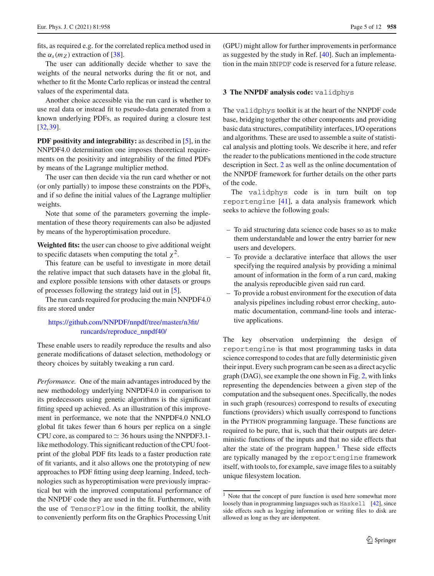fits, as required e.g. for the correlated replica method used in the  $\alpha_s(m_Z)$  extraction of [\[38](#page-10-36)].

The user can additionally decide whether to save the weights of the neural networks during the fit or not, and whether to fit the Monte Carlo replicas or instead the central values of the experimental data.

Another choice accessible via the run card is whether to use real data or instead fit to pseudo-data generated from a known underlying PDFs, as required during a closure test [\[32](#page-10-32),[39\]](#page-10-37).

**PDF positivity and integrability:** as described in [\[5](#page-10-5)], in the NNPDF4.0 determination one imposes theoretical requirements on the positivity and integrability of the fitted PDFs by means of the Lagrange multiplier method.

The user can then decide via the run card whether or not (or only partially) to impose these constraints on the PDFs, and if so define the initial values of the Lagrange multiplier weights.

Note that some of the parameters governing the implementation of these theory requirements can also be adjusted by means of the hyperoptimisation procedure.

**Weighted fits:** the user can choose to give additional weight to specific datasets when computing the total  $\chi^2$ .

This feature can be useful to investigate in more detail the relative impact that such datasets have in the global fit, and explore possible tensions with other datasets or groups of processes following the strategy laid out in [\[5](#page-10-5)].

The run cards required for producing the main NNPDF4.0 fits are stored under

### [https://github.com/NNPDF/nnpdf/tree/master/n3fit/](https://github.com/NNPDF/nnpdf/tree/master/n3fit/runcards/reproduce_nnpdf40/) [runcards/reproduce\\_nnpdf40/](https://github.com/NNPDF/nnpdf/tree/master/n3fit/runcards/reproduce_nnpdf40/)

These enable users to readily reproduce the results and also generate modifications of dataset selection, methodology or theory choices by suitably tweaking a run card.

*Performance.* One of the main advantages introduced by the new methodology underlying NNPDF4.0 in comparison to its predecessors using genetic algorithms is the significant fitting speed up achieved. As an illustration of this improvement in performance, we note that the NNPDF4.0 NNLO global fit takes fewer than 6 hours per replica on a single CPU core, as compared to  $\simeq$  36 hours using the NNPDF3.1like methodology. This significant reduction of the CPU footprint of the global PDF fits leads to a faster production rate of fit variants, and it also allows one the prototyping of new approaches to PDF fitting using deep learning. Indeed, technologies such as hyperoptimisation were previously impractical but with the improved computational performance of the NNPDF code they are used in the fit. Furthermore, with the use of TensorFlow in the fitting toolkit, the ability to conveniently perform fits on the Graphics Processing Unit (GPU) might allow for further improvements in performance as suggested by the study in Ref. [\[40\]](#page-10-38). Such an implementation in the main NNPDF code is reserved for a future release.

### <span id="page-4-0"></span>**3 The NNPDF analysis code:** validphys

The validphys toolkit is at the heart of the NNPDF code base, bridging together the other components and providing basic data structures, compatibility interfaces, I/O operations and algorithms. These are used to assemble a suite of statistical analysis and plotting tools. We describe it here, and refer the reader to the publications mentioned in the code structure description in Sect. [2](#page-1-0) as well as the online documentation of the NNPDF framework for further details on the other parts of the code.

The validphys code is in turn built on top reportengine [\[41\]](#page-10-39), a data analysis framework which seeks to achieve the following goals:

- To aid structuring data science code bases so as to make them understandable and lower the entry barrier for new users and developers.
- To provide a declarative interface that allows the user specifying the required analysis by providing a minimal amount of information in the form of a run card, making the analysis reproducible given said run card.
- To provide a robust environment for the execution of data analysis pipelines including robust error checking, automatic documentation, command-line tools and interactive applications.

The key observation underpinning the design of reportengine is that most programming tasks in data science correspond to codes that are fully deterministic given their input. Every such program can be seen as a direct acyclic graph (DAG), see example the one shown in Fig. [2,](#page-5-0) with links representing the dependencies between a given step of the computation and the subsequent ones. Specifically, the nodes in such graph (resources) correspond to results of executing functions (providers) which usually correspond to functions in the Python programming language. These functions are required to be pure, that is, such that their outputs are deterministic functions of the inputs and that no side effects that alter the state of the program happen. $<sup>1</sup>$  These side effects</sup> are typically managed by the reportengine framework itself, with tools to, for example, save image files to a suitably unique filesystem location.

<span id="page-4-1"></span><sup>&</sup>lt;sup>1</sup> Note that the concept of pure function is used here somewhat more loosely than in programming languages such as Haskell [\[42](#page-10-40)], since side effects such as logging information or writing files to disk are allowed as long as they are idempotent.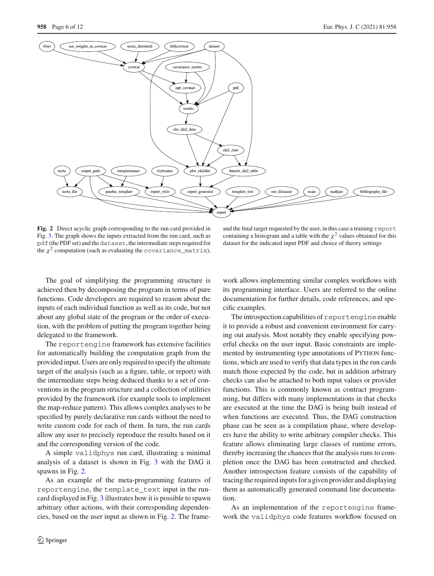

<span id="page-5-0"></span>**Fig. 2** Direct acyclic graph corresponding to the run card provided in Fig. [3.](#page-6-0) The graph shows the inputs extracted from the run card, such as pdf (the PDF set) and the dataset, the intermediate steps required for the  $\chi^2$  computation (such as evaluating the covariance\_matrix),

and the final target requested by the user, in this case a training report containing a histogram and a table with the  $\chi^2$  values obtained for this dataset for the indicated input PDF and choice of theory settings

The goal of simplifying the programming structure is achieved then by decomposing the program in terms of pure functions. Code developers are required to reason about the inputs of each individual function as well as its code, but not about any global state of the program or the order of execution, with the problem of putting the program together being delegated to the framework.

The reportengine framework has extensive facilities for automatically building the computation graph from the provided input. Users are only required to specify the ultimate target of the analysis (such as a figure, table, or report) with the intermediate steps being deduced thanks to a set of conventions in the program structure and a collection of utilities provided by the framework (for example tools to implement the map-reduce pattern). This allows complex analyses to be specified by purely declarative run cards without the need to write custom code for each of them. In turn, the run cards allow any user to precisely reproduce the results based on it and the corresponding version of the code.

A simple validphys run card, illustrating a minimal analysis of a dataset is shown in Fig. [3](#page-6-0) with the DAG it spawns in Fig. [2.](#page-5-0)

As an example of the meta-programming features of reportengine, the template\_text input in the runcard displayed in Fig. [3](#page-6-0) illustrates how it is possible to spawn arbitrary other actions, with their corresponding dependencies, based on the user input as shown in Fig. [2.](#page-5-0) The framework allows implementing similar complex workflows with its programming interface. Users are referred to the online documentation for further details, code references, and specific examples.

The introspection capabilities of reportengine enable it to provide a robust and convenient environment for carrying out analysis. Most notably they enable specifying powerful checks on the user input. Basic constraints are implemented by instrumenting type annotations of PYTHON functions, which are used to verify that data types in the run cards match those expected by the code, but in addition arbitrary checks can also be attached to both input values or provider functions. This is commonly known as contract programming, but differs with many implementations in that checks are executed at the time the DAG is being built instead of when functions are executed. Thus, the DAG construction phase can be seen as a compilation phase, where developers have the ability to write arbitrary compiler checks. This feature allows eliminating large classes of runtime errors, thereby increasing the chances that the analysis runs to completion once the DAG has been constructed and checked. Another introspection feature consists of the capability of tracing the required inputs for a given provider and displaying them as automatically generated command line documentation.

As an implementation of the reportengine framework the validphys code features workflow focused on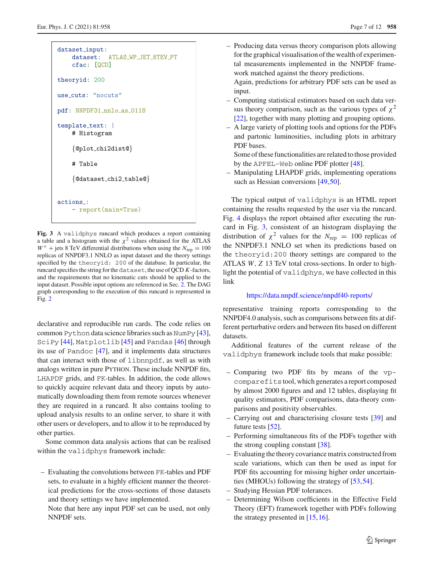| dataset_input:<br>dataset: ATLAS_WP_JET_8TEV_PT<br>cfac: [QCD] |  |  |  |  |  |  |  |
|----------------------------------------------------------------|--|--|--|--|--|--|--|
| theoryid: 200                                                  |  |  |  |  |  |  |  |
| use_cuts: "nocuts"                                             |  |  |  |  |  |  |  |
| pdf: NNPDF31_nnlo_as_0118                                      |  |  |  |  |  |  |  |
| template_text:  <br># Histogram                                |  |  |  |  |  |  |  |
| $\{\texttt{Qplot\_chi2dist@}\}$                                |  |  |  |  |  |  |  |
| # Table                                                        |  |  |  |  |  |  |  |
| $\{\texttt{Qdataset\_chi2\_table@}\}$                          |  |  |  |  |  |  |  |
| actions:<br>- report(main=True)                                |  |  |  |  |  |  |  |

<span id="page-6-0"></span>**Fig. 3** A validphys runcard which produces a report containing a table and a histogram with the  $\chi^2$  values obtained for the ATLAS  $W^+$  + jets 8 TeV differential distributions when using the  $N_{\text{rep}} = 100$ replicas of NNPDF3.1 NNLO as input dataset and the theory settings specified by the theoryid: 200 of the database. In particular, the runcard specifies the string for thedataset, the use of QCD *K*-factors, and the requirements that no kinematic cuts should be applied to the input dataset. Possible input options are referenced in Sec. [2.](#page-1-0) The DAG graph corresponding to the execution of this runcard is represented in Fig. [2](#page-5-0)

declarative and reproducible run cards. The code relies on common Python data science libraries such as NumPy [\[43](#page-10-41)], SciPy [\[44](#page-10-42)], Matplotlib [\[45](#page-11-0)] and Pandas [\[46\]](#page-11-1) through its use of Pandoc [\[47\]](#page-11-2), and it implements data structures that can interact with those of libnnpdf, as well as with analogs written in pure PYTHON. These include NNPDF fits, LHAPDF grids, and FK-tables. In addition, the code allows to quickly acquire relevant data and theory inputs by automatically downloading them from remote sources whenever they are required in a runcard. It also contains tooling to upload analysis results to an online server, to share it with other users or developers, and to allow it to be reproduced by other parties.

Some common data analysis actions that can be realised within the validphys framework include:

- Evaluating the convolutions between FK-tables and PDF sets, to evaluate in a highly efficient manner the theoretical predictions for the cross-sections of those datasets and theory settings we have implemented.
	- Note that here any input PDF set can be used, not only NNPDF sets.

– Producing data versus theory comparison plots allowing for the graphical visualisation of the wealth of experimental measurements implemented in the NNPDF framework matched against the theory predictions.

Again, predictions for arbitrary PDF sets can be used as input.

- Computing statistical estimators based on such data versus theory comparison, such as the various types of  $\chi^2$ [\[22](#page-10-22)], together with many plotting and grouping options.
- A large variety of plotting tools and options for the PDFs and partonic luminosities, including plots in arbitrary PDF bases.

Some of these functionalities are related to those provided by the APFEL-Web online PDF plotter [\[48](#page-11-3)].

– Manipulating LHAPDF grids, implementing operations such as Hessian conversions [\[49](#page-11-4),[50\]](#page-11-5).

The typical output of validphys is an HTML report containing the results requested by the user via the runcard. Fig. [4](#page-7-1) displays the report obtained after executing the runcard in Fig. [3,](#page-6-0) consistent of an histogram displaying the distribution of  $\chi^2$  values for the  $N_{\text{rep}} = 100$  replicas of the NNPDF3.1 NNLO set when its predictions based on the theoryid:200 theory settings are compared to the ATLAS *W*, *Z* 13 TeV total cross-sections. In order to highlight the potential of validphys, we have collected in this link

### <https://data.nnpdf.science/nnpdf40-reports/>

representative training reports corresponding to the NNPDF4.0 analysis, such as comparisons between fits at different perturbative orders and between fits based on different datasets.

Additional features of the current release of the validphys framework include tools that make possible:

- Comparing two PDF fits by means of the vpcomparefitstool, which generates a report composed by almost 2000 figures and and 12 tables, displaying fit quality estimators, PDF comparisons, data-theory comparisons and positivity observables.
- Carrying out and characterising closure tests [\[39\]](#page-10-37) and future tests [\[52\]](#page-11-6).
- Performing simultaneous fits of the PDFs together with the strong coupling constant [\[38](#page-10-36)].
- Evaluating the theory covariance matrix constructed from scale variations, which can then be used as input for PDF fits accounting for missing higher order uncertainties (MHOUs) following the strategy of [\[53](#page-11-7),[54\]](#page-11-8).
- Studying Hessian PDF tolerances.
- Determining Wilson coefficients in the Effective Field Theory (EFT) framework together with PDFs following the strategy presented in  $[15, 16]$  $[15, 16]$ .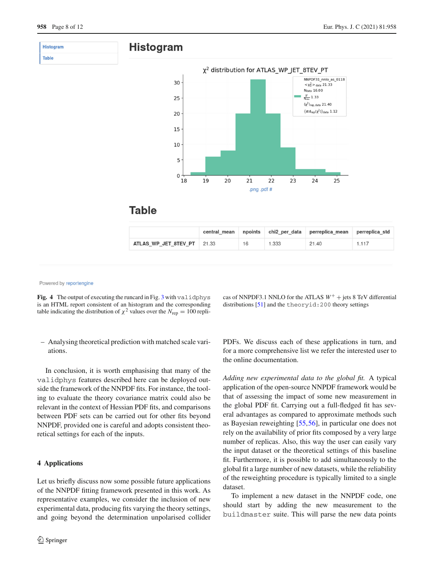

 $19$ 

18

 $20$ 

21

## **Table**

|                      | central mean | npoints |       | chi2 per data perreplica mean | perreplica std |
|----------------------|--------------|---------|-------|-------------------------------|----------------|
| ATLAS WP JET 8TEV PT | 21.33        | 16      | 1.333 | 21.40                         | 1.117          |

22 .png .pdf #

Powered by reportengine

<span id="page-7-1"></span>Fig. 4 The output of executing the runcard in Fig. [3](#page-6-0) with validphys is an HTML report consistent of an histogram and the corresponding table indicating the distribution of  $\chi^2$  values over the  $N_{\text{rep}} = 100$  repli-

– Analysing theoretical prediction with matched scale variations.

In conclusion, it is worth emphasising that many of the validphys features described here can be deployed outside the framework of the NNPDF fits. For instance, the tooling to evaluate the theory covariance matrix could also be relevant in the context of Hessian PDF fits, and comparisons between PDF sets can be carried out for other fits beyond NNPDF, provided one is careful and adopts consistent theoretical settings for each of the inputs.

### <span id="page-7-0"></span>**4 Applications**

Let us briefly discuss now some possible future applications of the NNPDF fitting framework presented in this work. As representative examples, we consider the inclusion of new experimental data, producing fits varying the theory settings, and going beyond the determination unpolarised collider cas of NNPDF3.1 NNLO for the ATLAS  $W^+$  + jets 8 TeV differential distributions [\[51\]](#page-11-9) and the theoryid:200 theory settings

 $\overline{23}$ 

 $\overline{24}$ 

 $\overline{25}$ 

PDFs. We discuss each of these applications in turn, and for a more comprehensive list we refer the interested user to the online documentation.

*Adding new experimental data to the global fit.* A typical application of the open-source NNPDF framework would be that of assessing the impact of some new measurement in the global PDF fit. Carrying out a full-fledged fit has several advantages as compared to approximate methods such as Bayesian reweighting [\[55](#page-11-10)[,56](#page-11-11)], in particular one does not rely on the availability of prior fits composed by a very large number of replicas. Also, this way the user can easily vary the input dataset or the theoretical settings of this baseline fit. Furthermore, it is possible to add simultaneously to the global fit a large number of new datasets, while the reliability of the reweighting procedure is typically limited to a single dataset.

To implement a new dataset in the NNPDF code, one should start by adding the new measurement to the buildmaster suite. This will parse the new data points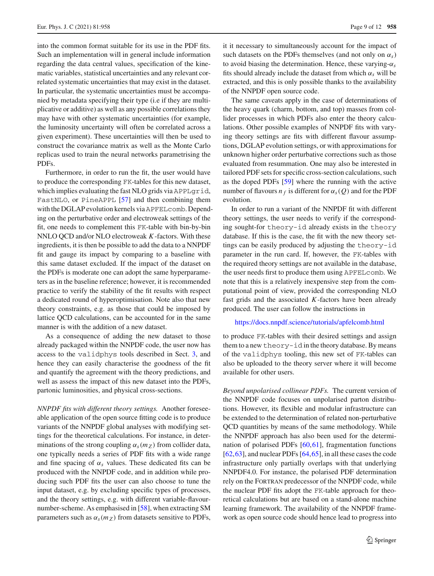into the common format suitable for its use in the PDF fits. Such an implementation will in general include information regarding the data central values, specification of the kinematic variables, statistical uncertainties and any relevant correlated systematic uncertainties that may exist in the dataset. In particular, the systematic uncertainties must be accompanied by metadata specifying their type (i.e if they are multiplicative or additive) as well as any possible correlations they may have with other systematic uncertainties (for example, the luminosity uncertainty will often be correlated across a given experiment). These uncertainties will then be used to construct the covariance matrix as well as the Monte Carlo replicas used to train the neural networks parametrising the PDFs.

Furthermore, in order to run the fit, the user would have to produce the corresponding FK-tables for this new dataset, which implies evaluating the fast NLO grids via APPLgrid, FastNLO, or PineAPPL [\[57](#page-11-12)] and then combining them with the DGLAP evolution kernels viaAPFELcomb. Depending on the perturbative order and electroweak settings of the fit, one needs to complement this FK-table with bin-by-bin NNLO QCD and/or NLO electroweak *K*-factors. With these ingredients, it is then be possible to add the data to a NNPDF fit and gauge its impact by comparing to a baseline with this same dataset excluded. If the impact of the dataset on the PDFs is moderate one can adopt the same hyperparameters as in the baseline reference; however, it is recommended practice to verify the stability of the fit results with respect a dedicated round of hyperoptimisation. Note also that new theory constraints, e.g. as those that could be imposed by lattice QCD calculations, can be accounted for in the same manner is with the addition of a new dataset.

As a consequence of adding the new dataset to those already packaged within the NNPDF code, the user now has access to the validphys tools described in Sect. [3,](#page-4-0) and hence they can easily characterise the goodness of the fit and quantify the agreement with the theory predictions, and well as assess the impact of this new dataset into the PDFs, partonic luminosities, and physical cross-sections.

*NNPDF fits with different theory settings.* Another foreseeable application of the open source fitting code is to produce variants of the NNPDF global analyses with modifying settings for the theoretical calculations. For instance, in determinations of the strong coupling  $\alpha_s(m_Z)$  from collider data, one typically needs a series of PDF fits with a wide range and fine spacing of  $\alpha_s$  values. These dedicated fits can be produced with the NNPDF code, and in addition while producing such PDF fits the user can also choose to tune the input dataset, e.g. by excluding specific types of processes, and the theory settings, e.g. with different variable-flavournumber-scheme. As emphasised in [\[58](#page-11-13)], when extracting SM parameters such as  $\alpha_s(m_Z)$  from datasets sensitive to PDFs, it it necessary to simultaneously account for the impact of such datasets on the PDFs themselves (and not only on  $\alpha_s$ ) to avoid biasing the determination. Hence, these varying-α*s* fits should already include the dataset from which  $\alpha_s$  will be extracted, and this is only possible thanks to the availability of the NNPDF open source code.

The same caveats apply in the case of determinations of the heavy quark (charm, bottom, and top) masses from collider processes in which PDFs also enter the theory calculations. Other possible examples of NNPDF fits with varying theory settings are fits with different flavour assumptions, DGLAP evolution settings, or with approximations for unknown higher order perturbative corrections such as those evaluated from resummation. One may also be interested in tailored PDF sets for specific cross-section calculations, such as the doped PDFs [\[59\]](#page-11-14) where the running with the active number of flavours  $n_f$  is different for  $\alpha_s(Q)$  and for the PDF evolution.

In order to run a variant of the NNPDF fit with different theory settings, the user needs to verify if the corresponding sought-for theory-id already exists in the theory database. If this is the case, the fit with the new theory settings can be easily produced by adjusting the theory-id parameter in the run card. If, however, the FK-tables with the required theory settings are not available in the database, the user needs first to produce them using APFELcomb. We note that this is a relatively inexpensive step from the computational point of view, provided the corresponding NLO fast grids and the associated *K*-factors have been already produced. The user can follow the instructions in

### <https://docs.nnpdf.science/tutorials/apfelcomb.html>

to produce FK-tables with their desired settings and assign them to a new theory-id in the theory database. By means of the validphys tooling, this new set of FK-tables can also be uploaded to the theory server where it will become available for other users.

*Beyond unpolarised collinear PDFs.* The current version of the NNPDF code focuses on unpolarised parton distributions. However, its flexible and modular infrastructure can be extended to the determination of related non-perturbative QCD quantities by means of the same methodology. While the NNPDF approach has also been used for the determination of polarised PDFs [\[60](#page-11-15),[61](#page-11-16)], fragmentation functions [\[62](#page-11-17),[63\]](#page-11-18), and nuclear PDFs [\[64,](#page-11-19)[65\]](#page-11-20), in all these cases the code infrastructure only partially overlaps with that underlying NNPDF4.0. For instance, the polarised PDF determination rely on the Fortran predecessor of the NNPDF code, while the nuclear PDF fits adopt the FK-table approach for theoretical calculations but are based on a stand-alone machine learning framework. The availability of the NNPDF framework as open source code should hence lead to progress into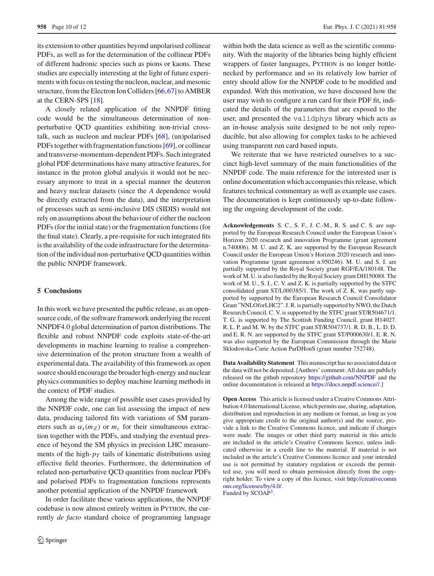its extension to other quantities beyond unpolarised collinear PDFs, as well as for the determination of the collinear PDFs of different hadronic species such as pions or kaons. These studies are especially interesting at the light of future experiments with focus on testing the nucleon, nuclear, and mesonic structure, from the Electron Ion Colliders [\[66](#page-11-21),[67](#page-11-22)] to AMBER at the CERN-SPS [\[18\]](#page-10-18).

A closely related application of the NNPDF fitting code would be the simultaneous determination of nonperturbative QCD quantities exhibiting non-trivial crosstalk, such as nucleon and nuclear PDFs [\[68](#page-11-23)], (un)polarised PDFs together with fragmentation functions [\[69](#page-11-24)], or collinear and transverse-momentum-dependent PDFs. Such integrated global PDF determinations have many attractive features, for instance in the proton global analysis it would not be necessary anymore to treat in a special manner the deuteron and heavy nuclear datasets (since the *A* dependence would be directly extracted from the data), and the interpretation of processes such as semi-inclusive DIS (SIDIS) would not rely on assumptions about the behaviour of either the nucleon PDFs (for the initial state) or the fragmentation functions (for the final state). Clearly, a pre-requisite for such integrated fits is the availability of the code infrastructure for the determination of the individual non-perturbative QCD quantities within the public NNPDF framework.

### <span id="page-9-0"></span>**5 Conclusions**

In this work we have presented the public release, as an opensource code, of the software framework underlying the recent NNPDF4.0 global determination of parton distributions. The flexible and robust NNPDF code exploits state-of-the-art developments in machine learning to realise a comprehensive determination of the proton structure from a wealth of experimental data. The availability of this framework as open source should encourage the broader high-energy and nuclear physics communities to deploy machine learning methods in the context of PDF studies.

Among the wide range of possible user cases provided by the NNPDF code, one can list assessing the impact of new data, producing tailored fits with variations of SM parameters such as  $\alpha_s(m_Z)$  or  $m_c$  for their simultaneous extraction together with the PDFs, and studying the eventual presence of beyond the SM physics in precision LHC measurements of the high- $p_T$  tails of kinematic distributions using effective field theories. Furthermore, the determination of related non-perturbative QCD quantities from nuclear PDFs and polarised PDFs to fragmentation functions represents another potential application of the NNPDF framework

In order facilitate these various applications, the NNPDF codebase is now almost entirely written in Python, the currently *de facto* standard choice of programming language

within both the data science as well as the scientific community. With the majority of the libraries being highly efficient wrappers of faster languages, PYTHON is no longer bottlenecked by performance and so its relatively low barrier of entry should allow for the NNPDF code to be modified and expanded. With this motivation, we have discussed how the user may wish to configure a run card for their PDF fit, indicated the details of the parameters that are exposed to the user, and presented the validphys library which acts as an in-house analysis suite designed to be not only reproducible, but also allowing for complex tasks to be achieved using transparent run card based inputs.

We reiterate that we have restricted ourselves to a succinct high-level summary of the main functionalities of the NNPDF code. The main reference for the interested user is online documentation which accompanies this release, which features technical commentary as well as example use cases. The documentation is kept continuously up-to-date following the ongoing development of the code.

**Acknowledgements** S. C., S. F., J. C.-M., R. S. and C. S. are supported by the European Research Council under the European Union's Horizon 2020 research and innovation Programme (grant agreement n.740006). M. U. and Z. K. are supported by the European Research Council under the European Union's Horizon 2020 research and innovation Programme (grant agreement n.950246). M. U. and S. I. are partially supported by the Royal Society grant RGF/EA/180148. The work of M. U. is also funded by the Royal Society grant DH150088. The work of M. U., S. I., C. V. and Z. K. is partially supported by the STFC consolidated grant ST/L000385/1. The work of Z. K. was partly supported by supported by the European Research Council Consolidator Grant "NNLOforLHC2". J. R. is partially supported by NWO, the Dutch Research Council. C. V. is supported by the STFC grant ST/R504671/1. T. G. is supported by The Scottish Funding Council, grant H14027. R. L. P. and M. W. by the STFC grant ST/R504737/1. R. D. B., L. D. D. and E. R. N. are supported by the STFC grant ST/P000630/1. E. R. N. was also supported by the European Commission through the Marie Sklodowska-Curie Action ParDHonS (grant number 752748).

**Data Availability Statement** This manuscript has no associated data or the data will not be deposited. [Authors' comment: All data are publicly released on the github repository <https://github.com/NNPDF> and the online documentation is released at [https://docs.nnpdf.science//.](https://docs.nnpdf.science//)]

**Open Access** This article is licensed under a Creative Commons Attribution 4.0 International License, which permits use, sharing, adaptation, distribution and reproduction in any medium or format, as long as you give appropriate credit to the original author(s) and the source, provide a link to the Creative Commons licence, and indicate if changes were made. The images or other third party material in this article are included in the article's Creative Commons licence, unless indicated otherwise in a credit line to the material. If material is not included in the article's Creative Commons licence and your intended use is not permitted by statutory regulation or exceeds the permitted use, you will need to obtain permission directly from the copyright holder. To view a copy of this licence, visit [http://creativecomm](http://creativecommons.org/licenses/by/4.0/) [ons.org/licenses/by/4.0/.](http://creativecommons.org/licenses/by/4.0/)

Funded by SCOAP<sup>3</sup>.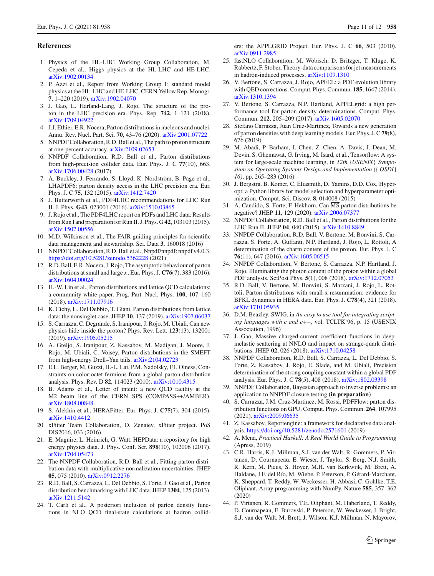#### <span id="page-10-0"></span>**References**

- <span id="page-10-1"></span>1. Physics of the HL-LHC Working Group Collaboration, M. Cepeda et al., Higgs physics at the HL-LHC and HE-LHC. [arXiv:1902.00134](http://arxiv.org/abs/1902.00134)
- <span id="page-10-2"></span>2. P. Azzi et al., Report from Working Group 1: standard model physics at the HL-LHC and HE-LHC. CERN Yellow Rep. Monogr. **7**, 1–220 (2019). [arXiv:1902.04070](http://arxiv.org/abs/1902.04070)
- <span id="page-10-3"></span>3. J. Gao, L. Harland-Lang, J. Rojo, The structure of the proton in the LHC precision era. Phys. Rep. **742**, 1–121 (2018). [arXiv:1709.04922](http://arxiv.org/abs/1709.04922)
- <span id="page-10-4"></span>4. J.J. Ethier, E.R. Nocera, Parton distributions in nucleons and nuclei. Annu. Rev. Nucl. Part. Sci. **70**, 43–76 (2020). [arXiv:2001.07722](http://arxiv.org/abs/2001.07722)
- <span id="page-10-5"></span>5. NNPDF Collaboration, R.D. Ball et al., The path to proton structure at one-percent accuracy. [arXiv:2109.02653](http://arxiv.org/abs/2109.02653)
- <span id="page-10-6"></span>6. NNPDF Collaboration, R.D. Ball et al., Parton distributions from high-precision collider data. Eur. Phys. J. C **77**(10), 663. [arXiv:1706.00428](http://arxiv.org/abs/1706.00428) (2017)
- <span id="page-10-7"></span>7. A. Buckley, J. Ferrando, S. Lloyd, K. Nordström, B. Page et al., LHAPDF6: parton density access in the LHC precision era. Eur. Phys. J. C **75**, 132 (2015). [arXiv:1412.7420](http://arxiv.org/abs/1412.7420)
- <span id="page-10-8"></span>8. J. Butterworth et al., PDF4LHC recommendations for LHC Run II. J. Phys. **G43**, 023001 (2016). [arXiv:1510.03865](http://arxiv.org/abs/1510.03865)
- <span id="page-10-9"></span>9. J. Rojo et al., The PDF4LHC report on PDFs and LHC data: Results from Run I and preparation for Run II. J. Phys. G **42**, 103103 (2015). [arXiv:1507.00556](http://arxiv.org/abs/1507.00556)
- <span id="page-10-10"></span>10. M.D. Wilkinson et al., The FAIR guiding principles for scientific data management and stewardship. Sci. Data **3**, 160018 (2016)
- <span id="page-10-11"></span>11. NNPDF Collaboration, R.D. Ball et al., Nnpdf/nnpdf: nnpdf v4.0.3. <https://doi.org/10.5281/zenodo.5362228> (2021)
- <span id="page-10-12"></span>12. R.D. Ball, E.R. Nocera, J. Rojo, The asymptotic behaviour of parton distributions at small and large *x*. Eur. Phys. J. **C76**(7), 383 (2016). [arXiv:1604.00024](http://arxiv.org/abs/1604.00024)
- <span id="page-10-13"></span>13. H.-W. Lin et al., Parton distributions and lattice QCD calculations: a community white paper. Prog. Part. Nucl. Phys. **100**, 107–160 (2018). [arXiv:1711.07916](http://arxiv.org/abs/1711.07916)
- <span id="page-10-14"></span>14. K. Cichy, L. Del Debbio, T. Giani, Parton distributions from lattice data: the nonsinglet case. JHEP **10**, 137 (2019). [arXiv:1907.06037](http://arxiv.org/abs/1907.06037)
- <span id="page-10-15"></span>15. S. Carrazza, C. Degrande, S. Iranipour, J. Rojo, M. Ubiali, Can new physics hide inside the proton? Phys. Rev. Lett. **123**(13), 132001 (2019). [arXiv:1905.05215](http://arxiv.org/abs/1905.05215)
- <span id="page-10-16"></span>16. A. Greljo, S. Iranipour, Z. Kassabov, M. Madigan, J. Moore, J. Rojo, M. Ubiali, C. Voisey, Parton distributions in the SMEFT from high-energy Drell–Yan tails. [arXiv:2104.02723](http://arxiv.org/abs/2104.02723)
- <span id="page-10-17"></span>17. E.L. Berger, M. Guzzi, H.-L. Lai, P.M. Nadolsky, F.I. Olness, Constraints on color-octet fermions from a global parton distribution analysis. Phys. Rev. D **82**, 114023 (2010). [arXiv:1010.4315](http://arxiv.org/abs/1010.4315)
- <span id="page-10-18"></span>18. B. Adams et al., Letter of intent: a new QCD facility at the M2 beam line of the CERN SPS (COMPASS++/AMBER). [arXiv:1808.00848](http://arxiv.org/abs/1808.00848)
- <span id="page-10-19"></span>19. S. Alekhin et al., HERAFitter. Eur. Phys. J. **C75**(7), 304 (2015). [arXiv:1410.4412](http://arxiv.org/abs/1410.4412)
- <span id="page-10-20"></span>20. xFitter Team Collaboration, O. Zenaiev, xFitter project. PoS DIS2016, 033 (2016)
- <span id="page-10-21"></span>21. E. Maguire, L. Heinrich, G. Watt, HEPData: a repository for high energy physics data. J. Phys. Conf. Ser. **898**(10), 102006 (2017). [arXiv:1704.05473](http://arxiv.org/abs/1704.05473)
- <span id="page-10-22"></span>22. The NNPDF Collaboration, R.D. Ball et al., Fitting parton distribution data with multiplicative normalization uncertainties. JHEP **05**, 075 (2010). [arXiv:0912.2276](http://arxiv.org/abs/0912.2276)
- <span id="page-10-23"></span>23. R.D. Ball, S. Carrazza, L. Del Debbio, S. Forte, J. Gao et al., Parton distribution benchmarking with LHC data. JHEP **1304**, 125 (2013). [arXiv:1211.5142](http://arxiv.org/abs/1211.5142)
- <span id="page-10-24"></span>24. T. Carli et al., A posteriori inclusion of parton density functions in NLO QCD final-state calculations at hadron collid-

ers: the APPLGRID Project. Eur. Phys. J. C **66**, 503 (2010). [arXiv:0911.2985](http://arxiv.org/abs/0911.2985)

- <span id="page-10-25"></span>25. fastNLO Collaboration, M. Wobisch, D. Britzger, T. Kluge, K. Rabbertz, F. Stober, Theory-data comparisons for jet measurements in hadron-induced processes. [arXiv:1109.1310](http://arxiv.org/abs/1109.1310)
- <span id="page-10-26"></span>26. V. Bertone, S. Carrazza, J. Rojo, APFEL: a PDF evolution library with QED corrections. Comput. Phys. Commun. **185**, 1647 (2014). [arXiv:1310.1394](http://arxiv.org/abs/1310.1394)
- <span id="page-10-27"></span>27. V. Bertone, S. Carrazza, N.P. Hartland, APFELgrid: a high performance tool for parton density determinations. Comput. Phys. Commun. **212**, 205–209 (2017). [arXiv:1605.02070](http://arxiv.org/abs/1605.02070)
- <span id="page-10-28"></span>28. Stefano Carrazza, Juan Cruz-Martinez, Towards a new generation of parton densities with deep learning models. Eur. Phys. J. C**79**(8), 676 (2019)
- <span id="page-10-29"></span>29. M. Abadi, P. Barham, J. Chen, Z. Chen, A. Davis, J. Dean, M. Devin, S. Ghemawat, G. Irving, M. Isard, et al., Tensorflow: A system for large-scale machine learning, in *12th* {*USENIX*} *Symposium on Operating Systems Design and Implementation* ({ *OSDI*} *16)*, pp. 265–283 (2016)
- <span id="page-10-30"></span>30. J. Bergstra, B. Komer, C. Eliasmith, D. Yamins, D.D. Cox, Hyperopt: a Python library for model selection and hyperparameter optimization. Comput. Sci. Discov. **8**, 014008 (2015)
- <span id="page-10-31"></span>31. A. Candido, S. Forte, F. Hekhorn, Can MS parton distributions be negative? JHEP **11**, 129 (2020). [arXiv:2006.07377](http://arxiv.org/abs/2006.07377)
- <span id="page-10-32"></span>32. NNPDF Collaboration, R.D. Ball et al., Parton distributions for the LHC Run II. JHEP **04**, 040 (2015). [arXiv:1410.8849](http://arxiv.org/abs/1410.8849)
- 33. NNPDF Collaboration, R.D. Ball, V. Bertone, M. Bonvini, S. Carrazza, S. Forte, A. Guffanti, N.P. Hartland, J. Rojo, L. Rottoli, A determination of the charm content of the proton. Eur. Phys. J. C **76**(11), 647 (2016). [arXiv:1605.06515](http://arxiv.org/abs/1605.06515)
- 34. NNPDF Collaboration, V. Bertone, S. Carrazza, N.P. Hartland, J. Rojo, Illuminating the photon content of the proton within a global PDF analysis. SciPost Phys. **5**(1), 008 (2018). [arXiv:1712.07053](http://arxiv.org/abs/1712.07053)
- <span id="page-10-33"></span>35. R.D. Ball, V. Bertone, M. Bonvini, S. Marzani, J. Rojo, L. Rottoli, Parton distributions with small-x resummation: evidence for BFKL dynamics in HERA data. Eur. Phys. J. **C78**(4), 321 (2018). [arXiv:1710.05935](http://arxiv.org/abs/1710.05935)
- <span id="page-10-34"></span>36. D.M. Beazley, SWIG, in *An easy to use tool for integrating scripting languages with c and c++*, vol. TCLTK'96, p. 15 (USENIX Association, 1996)
- <span id="page-10-35"></span>37. J. Gao, Massive charged-current coefficient functions in deepinelastic scattering at NNLO and impact on strange-quark distributions. JHEP **02**, 026 (2018). [arXiv:1710.04258](http://arxiv.org/abs/1710.04258)
- <span id="page-10-36"></span>38. NNPDF Collaboration, R.D. Ball, S. Carrazza, L. Del Debbio, S. Forte, Z. Kassabov, J. Rojo, E. Slade, and M. Ubiali, Precision determination of the strong coupling constant within a global PDF analysis. Eur. Phys. J. C **78**(5), 408 (2018). [arXiv:1802.03398](http://arxiv.org/abs/1802.03398)
- <span id="page-10-37"></span>39. NNPDF Collaboration, Bayesian approach to inverse problems: an application to NNPDF closure testing **(in preparation)**
- <span id="page-10-38"></span>40. S. Carrazza, J.M. Cruz-Martinez, M. Rossi, PDFFlow: parton distribution functions on GPU. Comput. Phys. Commun. **264**, 107995 (2021). [arXiv:2009.06635](http://arxiv.org/abs/2009.06635)
- <span id="page-10-39"></span>41. Z. Kassabov, Reportengine: a framework for declarative data analysis. <https://doi.org/10.5281/zenodo.2571601> (2019)
- <span id="page-10-40"></span>42. A. Mena, *Practical Haskell: A Real World Guide to Programming* (Apress, 2019)
- <span id="page-10-41"></span>43. C.R. Harris, K.J. Millman, S.J. van der Walt, R. Gommers, P. Virtanen, D. Cournapeau, E. Wieser, J. Taylor, S. Berg, N.J. Smith, R. Kern, M. Picus, S. Hoyer, M.H. van Kerkwijk, M. Brett, A. Haldane, J.F. del Río, M. Wiebe, P. Peterson, P. Gérard-Marchant, K. Sheppard, T. Reddy, W. Weckesser, H. Abbasi, C. Gohlke, T.E. Oliphant, Array programming with NumPy. Nature **585**, 357–362 (2020)
- <span id="page-10-42"></span>44. P. Virtanen, R. Gommers, T.E. Oliphant, M. Haberland, T. Reddy, D. Cournapeau, E. Burovski, P. Peterson, W. Weckesser, J. Bright, S.J. van der Walt, M. Brett, J. Wilson, K.J. Millman, N. Mayorov,